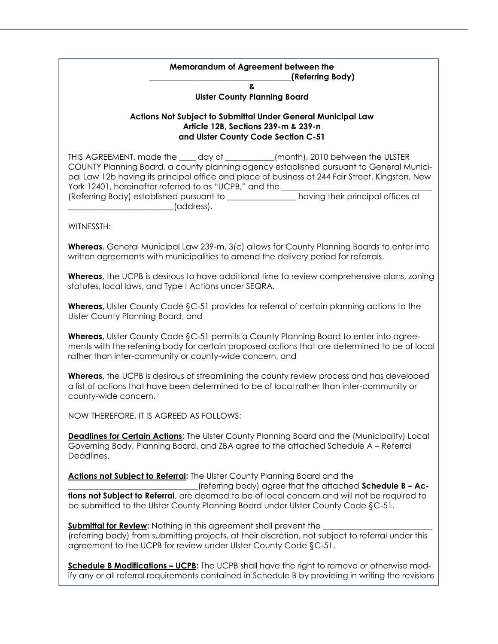## **Memorandum of Agreement between the \_\_\_\_\_\_\_\_\_\_\_\_\_\_\_\_\_\_\_\_\_\_\_\_\_\_\_\_\_\_\_\_\_\_\_(Referring Body) &**

**Ulster County Planning Board**

## **Actions Not Subject to Submittal Under General Municipal Law Article 12B, Sections 239-m & 239-n and Ulster County Code Section C-51**

THIS AGREEMENT, made the \_\_\_\_ day of \_\_\_\_\_\_\_\_\_\_\_\_(month), 2010 between the ULSTER COUNTY Planning Board, a county planning agency established pursuant to General Municipal Law 12b having its principal office and place of business at 244 Fair Street, Kingston, New York 12401, hereinafter referred to as "UCPB," and the (Referring Body) established pursuant to \_\_\_\_\_\_\_\_\_\_\_\_\_\_\_\_\_ having their principal offices at \_\_\_\_\_\_\_\_\_\_\_\_\_\_\_\_\_\_\_\_\_\_\_\_\_\_(address).

WITNESSTH:

**Whereas**, General Municipal Law 239-m, 3(c) allows for County Planning Boards to enter into written agreements with municipalities to amend the delivery period for referrals.

**Whereas**, the UCPB is desirous to have additional time to review comprehensive plans, zoning statutes, local laws, and Type I Actions under SEQRA.

**Whereas,** Ulster County Code §C-51 provides for referral of certain planning actions to the Ulster County Planning Board, and

**Whereas,** Ulster County Code §C-51 permits a County Planning Board to enter into agreements with the referring body for certain proposed actions that are determined to be of local rather than inter-community or county-wide concern, and

**Whereas,** the UCPB is desirous of streamlining the county review process and has developed a list of actions that have been determined to be of local rather than inter-community or county-wide concern.

NOW THEREFORE, IT IS AGREED AS FOLLOWS:

**Deadlines for Certain Actions:** The Ulster County Planning Board and the (Municipality) Local Governing Body, Planning Board, and ZBA agree to the attached Schedule A – Referral Deadlines.

**Actions not Subject to Referral:** The Ulster County Planning Board and the \_\_\_\_\_\_\_\_\_\_\_\_\_\_\_\_\_\_\_\_\_\_\_\_\_\_\_\_\_\_\_\_(referring body) agree that the attached **Schedule B – Actions not Subject to Referral**, are deemed to be of local concern and will not be required to be submitted to the Ulster County Planning Board under Ulster County Code §C-51.

**Submittal for Review:** Nothing in this agreement shall prevent the (referring body) from submitting projects, at their discretion, not subject to referral under this agreement to the UCPB for review under Ulster County Code §C-51.

**Schedule B Modifications – UCPB:** The UCPB shall have the right to remove or otherwise modify any or all referral requirements contained in Schedule B by providing in writing the revisions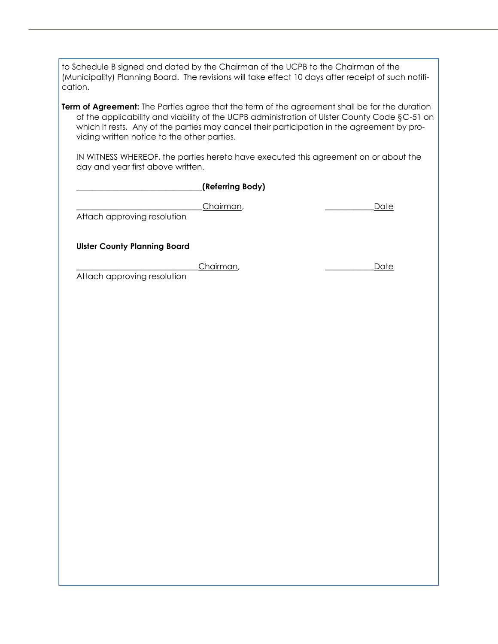to Schedule B signed and dated by the Chairman of the UCPB to the Chairman of the (Municipality) Planning Board. The revisions will take effect 10 days after receipt of such notification. **Term of Agreement:** The Parties agree that the term of the agreement shall be for the duration of the applicability and viability of the UCPB administration of Ulster County Code §C-51 on which it rests. Any of the parties may cancel their participation in the agreement by providing written notice to the other parties. IN WITNESS WHEREOF, the parties hereto have executed this agreement on or about the day and year first above written. **\_\_\_\_\_\_\_\_\_\_\_\_\_\_\_\_\_\_\_\_\_\_\_\_\_\_\_\_\_\_\_(Referring Body)**  \_\_\_\_\_\_\_\_\_\_\_\_\_\_\_\_\_\_\_\_\_\_\_\_\_\_\_\_\_\_\_Chairman, \_\_\_\_\_\_\_\_\_\_\_\_Date Attach approving resolution **Ulster County Planning Board** Chairman, the contract of the contract of the contract of the contract of the contract of the contract of the contract of the contract of the contract of the contract of the contract of the contract of the contract of the Attach approving resolution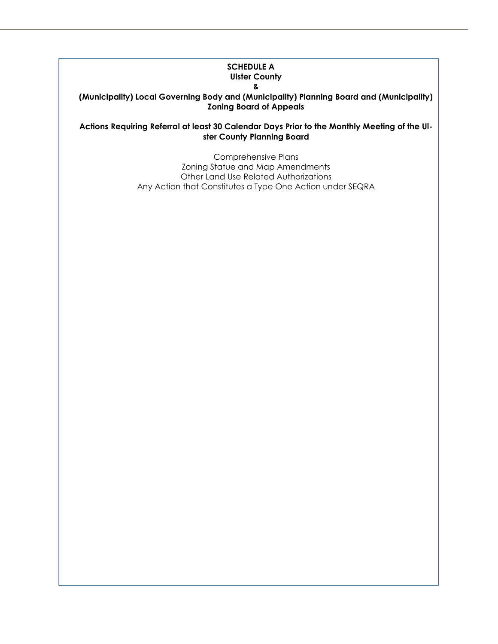## **SCHEDULE A Ulster County &**

**(Municipality) Local Governing Body and (Municipality) Planning Board and (Municipality) Zoning Board of Appeals**

**Actions Requiring Referral at least 30 Calendar Days Prior to the Monthly Meeting of the Ulster County Planning Board**

> Comprehensive Plans Zoning Statue and Map Amendments Other Land Use Related Authorizations Any Action that Constitutes a Type One Action under SEQRA